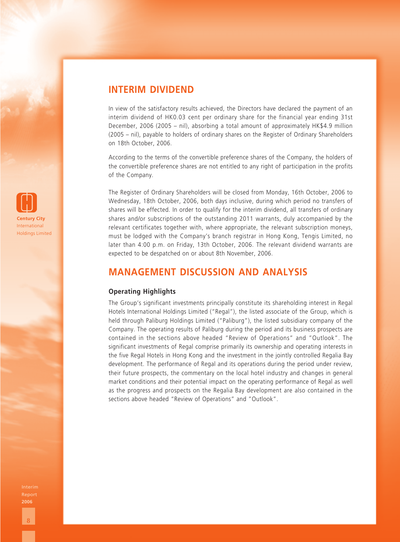

# **INTERIM DIVIDEND**

In view of the satisfactory results achieved, the Directors have declared the payment of an interim dividend of HK0.03 cent per ordinary share for the financial year ending 31st December, 2006 (2005 – nil), absorbing a total amount of approximately HK\$4.9 million (2005 – nil), payable to holders of ordinary shares on the Register of Ordinary Shareholders on 18th October, 2006.

According to the terms of the convertible preference shares of the Company, the holders of the convertible preference shares are not entitled to any right of participation in the profits of the Company.

The Register of Ordinary Shareholders will be closed from Monday, 16th October, 2006 to Wednesday, 18th October, 2006, both days inclusive, during which period no transfers of shares will be effected. In order to qualify for the interim dividend, all transfers of ordinary shares and/or subscriptions of the outstanding 2011 warrants, duly accompanied by the relevant certificates together with, where appropriate, the relevant subscription moneys, must be lodged with the Company's branch registrar in Hong Kong, Tengis Limited, no later than 4:00 p.m. on Friday, 13th October, 2006. The relevant dividend warrants are expected to be despatched on or about 8th November, 2006.

## **MANAGEMENT DISCUSSION AND ANALYSIS**

## **Operating Highlights**

The Group's significant investments principally constitute its shareholding interest in Regal Hotels International Holdings Limited ("Regal"), the listed associate of the Group, which is held through Paliburg Holdings Limited ("Paliburg"), the listed subsidiary company of the Company. The operating results of Paliburg during the period and its business prospects are contained in the sections above headed "Review of Operations" and "Outlook". The significant investments of Regal comprise primarily its ownership and operating interests in the five Regal Hotels in Hong Kong and the investment in the jointly controlled Regalia Bay development. The performance of Regal and its operations during the period under review, their future prospects, the commentary on the local hotel industry and changes in general market conditions and their potential impact on the operating performance of Regal as well as the progress and prospects on the Regalia Bay development are also contained in the sections above headed "Review of Operations" and "Outlook".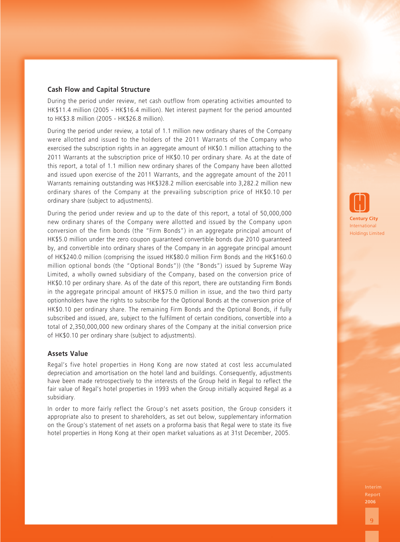## **Cash Flow and Capital Structure**

During the period under review, net cash outflow from operating activities amounted to HK\$11.4 million (2005 - HK\$16.4 million). Net interest payment for the period amounted to HK\$3.8 million (2005 - HK\$26.8 million).

During the period under review, a total of 1.1 million new ordinary shares of the Company were allotted and issued to the holders of the 2011 Warrants of the Company who exercised the subscription rights in an aggregate amount of HK\$0.1 million attaching to the 2011 Warrants at the subscription price of HK\$0.10 per ordinary share. As at the date of this report, a total of 1.1 million new ordinary shares of the Company have been allotted and issued upon exercise of the 2011 Warrants, and the aggregate amount of the 2011 Warrants remaining outstanding was HK\$328.2 million exercisable into 3,282.2 million new ordinary shares of the Company at the prevailing subscription price of HK\$0.10 per ordinary share (subject to adjustments).

During the period under review and up to the date of this report, a total of 50,000,000 new ordinary shares of the Company were allotted and issued by the Company upon conversion of the firm bonds (the "Firm Bonds") in an aggregate principal amount of HK\$5.0 million under the zero coupon guaranteed convertible bonds due 2010 guaranteed by, and convertible into ordinary shares of the Company in an aggregate principal amount of HK\$240.0 million (comprising the issued HK\$80.0 million Firm Bonds and the HK\$160.0 million optional bonds (the "Optional Bonds")) (the "Bonds") issued by Supreme Way Limited, a wholly owned subsidiary of the Company, based on the conversion price of HK\$0.10 per ordinary share. As of the date of this report, there are outstanding Firm Bonds in the aggregate principal amount of HK\$75.0 million in issue, and the two third party optionholders have the rights to subscribe for the Optional Bonds at the conversion price of HK\$0.10 per ordinary share. The remaining Firm Bonds and the Optional Bonds, if fully subscribed and issued, are, subject to the fulfilment of certain conditions, convertible into a total of 2,350,000,000 new ordinary shares of the Company at the initial conversion price of HK\$0.10 per ordinary share (subject to adjustments).

### **Assets Value**

Regal's five hotel properties in Hong Kong are now stated at cost less accumulated depreciation and amortisation on the hotel land and buildings. Consequently, adjustments have been made retrospectively to the interests of the Group held in Regal to reflect the fair value of Regal's hotel properties in 1993 when the Group initially acquired Regal as a subsidiary.

In order to more fairly reflect the Group's net assets position, the Group considers it appropriate also to present to shareholders, as set out below, supplementary information on the Group's statement of net assets on a proforma basis that Regal were to state its five hotel properties in Hong Kong at their open market valuations as at 31st December, 2005.

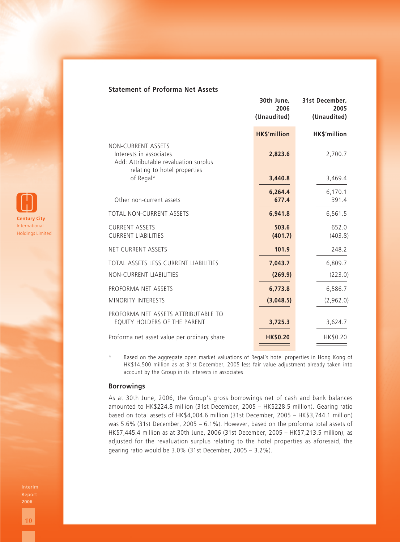## **Statement of Proforma Net Assets**

|                                                                                                                        | 30th June,<br>2006<br>(Unaudited) | 31st December,<br>2005<br>(Unaudited) |
|------------------------------------------------------------------------------------------------------------------------|-----------------------------------|---------------------------------------|
|                                                                                                                        | <b>HK\$'million</b>               | HK\$'million                          |
| NON-CURRENT ASSETS<br>Interests in associates<br>Add: Attributable revaluation surplus<br>relating to hotel properties | 2,823.6                           | 2,700.7                               |
| of Regal*                                                                                                              | 3,440.8                           | 3,469.4                               |
| Other non-current assets                                                                                               | 6,264.4<br>677.4                  | 6,170.1<br>391.4                      |
| TOTAL NON-CURRENT ASSETS                                                                                               | 6,941.8                           | 6,561.5                               |
| <b>CURRENT ASSETS</b><br><b>CURRENT LIABILITIES</b>                                                                    | 503.6<br>(401.7)                  | 652.0<br>(403.8)                      |
| NET CURRENT ASSETS                                                                                                     | 101.9                             | 248.2                                 |
| TOTAL ASSETS LESS CURRENT LIABILITIES                                                                                  | 7,043.7                           | 6,809.7                               |
| <b>NON-CURRENT LIABILITIES</b>                                                                                         | (269.9)                           | (223.0)                               |
| PROFORMA NET ASSETS                                                                                                    | 6,773.8                           | 6,586.7                               |
| MINORITY INTERESTS                                                                                                     | (3,048.5)                         | (2,962.0)                             |
| PROFORMA NET ASSETS ATTRIBUTABLE TO<br>EQUITY HOLDERS OF THE PARENT                                                    | 3,725.3                           | 3,624.7                               |
| Proforma net asset value per ordinary share                                                                            | <b>HK\$0.20</b>                   | HK\$0.20                              |
|                                                                                                                        |                                   |                                       |

\* Based on the aggregate open market valuations of Regal's hotel properties in Hong Kong of HK\$14,500 million as at 31st December, 2005 less fair value adjustment already taken into account by the Group in its interests in associates

#### **Borrowings**

As at 30th June, 2006, the Group's gross borrowings net of cash and bank balances amounted to HK\$224.8 million (31st December, 2005 – HK\$228.5 million). Gearing ratio based on total assets of HK\$4,004.6 million (31st December, 2005 – HK\$3,744.1 million) was 5.6% (31st December, 2005 – 6.1%). However, based on the proforma total assets of HK\$7,445.4 million as at 30th June, 2006 (31st December, 2005 – HK\$7,213.5 million), as adjusted for the revaluation surplus relating to the hotel properties as aforesaid, the gearing ratio would be 3.0% (31st December, 2005 – 3.2%).